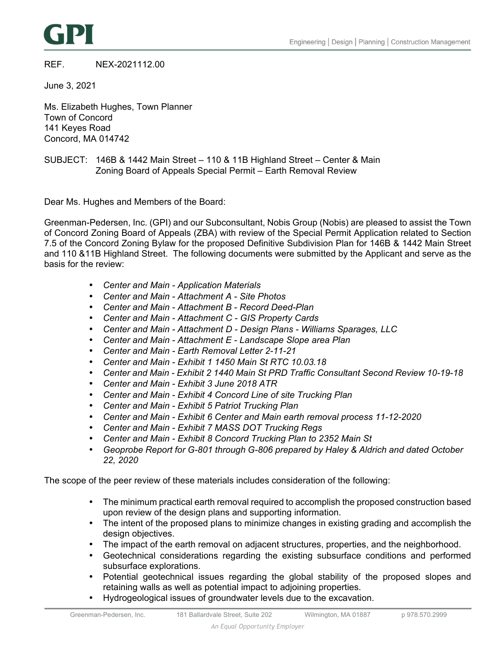

# REF. NEX-2021112.00

June 3, 2021

Ms. Elizabeth Hughes, Town Planner Town of Concord 141 Keyes Road Concord, MA 014742

# SUBJECT: 146B & 1442 Main Street – 110 & 11B Highland Street – Center & Main Zoning Board of Appeals Special Permit – Earth Removal Review

Dear Ms. Hughes and Members of the Board:

Greenman-Pedersen, Inc. (GPI) and our Subconsultant, Nobis Group (Nobis) are pleased to assist the Town of Concord Zoning Board of Appeals (ZBA) with review of the Special Permit Application related to Section 7.5 of the Concord Zoning Bylaw for the proposed Definitive Subdivision Plan for 146B & 1442 Main Street and 110 &11B Highland Street. The following documents were submitted by the Applicant and serve as the basis for the review:

- *Center and Main Application Materials*
- *Center and Main Attachment A Site Photos*
- *Center and Main Attachment B Record Deed-Plan*
- *Center and Main Attachment C GIS Property Cards*
- *Center and Main Attachment D Design Plans Williams Sparages, LLC*
- *Center and Main Attachment E Landscape Slope area Plan*
- *Center and Main Earth Removal Letter 2-11-21*
- *Center and Main Exhibit 1 1450 Main St RTC 10.03.18*
- *Center and Main Exhibit 2 1440 Main St PRD Traffic Consultant Second Review 10-19-18*
- *Center and Main Exhibit 3 June 2018 ATR*
- *Center and Main Exhibit 4 Concord Line of site Trucking Plan*
- *Center and Main Exhibit 5 Patriot Trucking Plan*
- *Center and Main Exhibit 6 Center and Main earth removal process 11-12-2020*
- *Center and Main Exhibit 7 MASS DOT Trucking Regs*
- *Center and Main Exhibit 8 Concord Trucking Plan to 2352 Main St*
- *Geoprobe Report for G-801 through G-806 prepared by Haley & Aldrich and dated October 22, 2020*

The scope of the peer review of these materials includes consideration of the following:

- The minimum practical earth removal required to accomplish the proposed construction based upon review of the design plans and supporting information.
- The intent of the proposed plans to minimize changes in existing grading and accomplish the design objectives.
- The impact of the earth removal on adjacent structures, properties, and the neighborhood.
- Geotechnical considerations regarding the existing subsurface conditions and performed subsurface explorations.
- Potential geotechnical issues regarding the global stability of the proposed slopes and retaining walls as well as potential impact to adjoining properties.
- Hydrogeological issues of groundwater levels due to the excavation.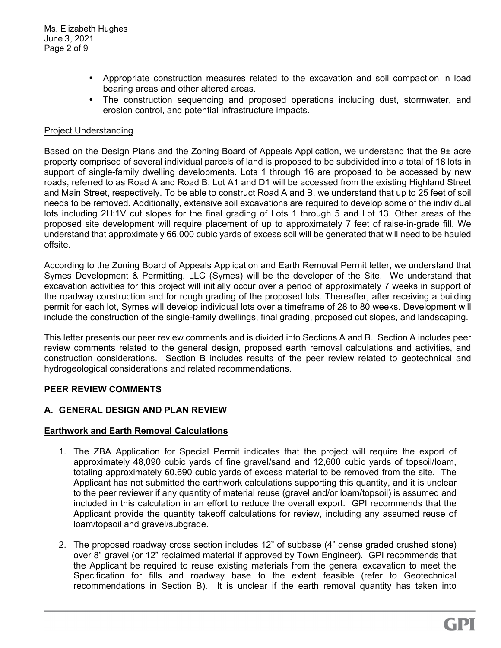- Appropriate construction measures related to the excavation and soil compaction in load bearing areas and other altered areas.
- The construction sequencing and proposed operations including dust, stormwater, and erosion control, and potential infrastructure impacts.

### Project Understanding

Based on the Design Plans and the Zoning Board of Appeals Application, we understand that the 9± acre property comprised of several individual parcels of land is proposed to be subdivided into a total of 18 lots in support of single-family dwelling developments. Lots 1 through 16 are proposed to be accessed by new roads, referred to as Road A and Road B. Lot A1 and D1 will be accessed from the existing Highland Street and Main Street, respectively. To be able to construct Road A and B, we understand that up to 25 feet of soil needs to be removed. Additionally, extensive soil excavations are required to develop some of the individual lots including 2H:1V cut slopes for the final grading of Lots 1 through 5 and Lot 13. Other areas of the proposed site development will require placement of up to approximately 7 feet of raise-in-grade fill. We understand that approximately 66,000 cubic yards of excess soil will be generated that will need to be hauled offsite.

According to the Zoning Board of Appeals Application and Earth Removal Permit letter, we understand that Symes Development & Permitting, LLC (Symes) will be the developer of the Site. We understand that excavation activities for this project will initially occur over a period of approximately 7 weeks in support of the roadway construction and for rough grading of the proposed lots. Thereafter, after receiving a building permit for each lot, Symes will develop individual lots over a timeframe of 28 to 80 weeks. Development will include the construction of the single-family dwellings, final grading, proposed cut slopes, and landscaping.

This letter presents our peer review comments and is divided into Sections A and B. Section A includes peer review comments related to the general design, proposed earth removal calculations and activities, and construction considerations. Section B includes results of the peer review related to geotechnical and hydrogeological considerations and related recommendations.

#### **PEER REVIEW COMMENTS**

# **A. GENERAL DESIGN AND PLAN REVIEW**

#### **Earthwork and Earth Removal Calculations**

- 1. The ZBA Application for Special Permit indicates that the project will require the export of approximately 48,090 cubic yards of fine gravel/sand and 12,600 cubic yards of topsoil/loam, totaling approximately 60,690 cubic yards of excess material to be removed from the site. The Applicant has not submitted the earthwork calculations supporting this quantity, and it is unclear to the peer reviewer if any quantity of material reuse (gravel and/or loam/topsoil) is assumed and included in this calculation in an effort to reduce the overall export. GPI recommends that the Applicant provide the quantity takeoff calculations for review, including any assumed reuse of loam/topsoil and gravel/subgrade.
- 2. The proposed roadway cross section includes 12" of subbase (4" dense graded crushed stone) over 8" gravel (or 12" reclaimed material if approved by Town Engineer). GPI recommends that the Applicant be required to reuse existing materials from the general excavation to meet the Specification for fills and roadway base to the extent feasible (refer to Geotechnical recommendations in Section B). It is unclear if the earth removal quantity has taken into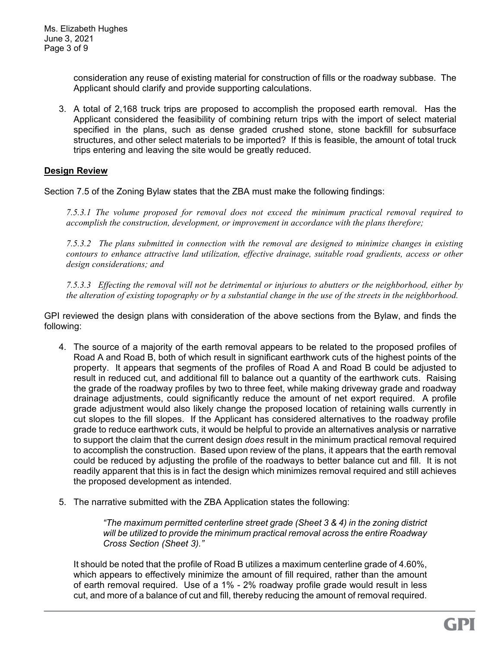consideration any reuse of existing material for construction of fills or the roadway subbase. The Applicant should clarify and provide supporting calculations.

3. A total of 2,168 truck trips are proposed to accomplish the proposed earth removal. Has the Applicant considered the feasibility of combining return trips with the import of select material specified in the plans, such as dense graded crushed stone, stone backfill for subsurface structures, and other select materials to be imported? If this is feasible, the amount of total truck trips entering and leaving the site would be greatly reduced.

# **Design Review**

Section 7.5 of the Zoning Bylaw states that the ZBA must make the following findings:

*7.5.3.1 The volume proposed for removal does not exceed the minimum practical removal required to accomplish the construction, development, or improvement in accordance with the plans therefore;* 

*7.5.3.2 The plans submitted in connection with the removal are designed to minimize changes in existing contours to enhance attractive land utilization, effective drainage, suitable road gradients, access or other design considerations; and* 

*7.5.3.3 Effecting the removal will not be detrimental or injurious to abutters or the neighborhood, either by the alteration of existing topography or by a substantial change in the use of the streets in the neighborhood.* 

GPI reviewed the design plans with consideration of the above sections from the Bylaw, and finds the following:

- 4. The source of a majority of the earth removal appears to be related to the proposed profiles of Road A and Road B, both of which result in significant earthwork cuts of the highest points of the property. It appears that segments of the profiles of Road A and Road B could be adjusted to result in reduced cut, and additional fill to balance out a quantity of the earthwork cuts. Raising the grade of the roadway profiles by two to three feet, while making driveway grade and roadway drainage adjustments, could significantly reduce the amount of net export required. A profile grade adjustment would also likely change the proposed location of retaining walls currently in cut slopes to the fill slopes. If the Applicant has considered alternatives to the roadway profile grade to reduce earthwork cuts, it would be helpful to provide an alternatives analysis or narrative to support the claim that the current design *does* result in the minimum practical removal required to accomplish the construction. Based upon review of the plans, it appears that the earth removal could be reduced by adjusting the profile of the roadways to better balance cut and fill. It is not readily apparent that this is in fact the design which minimizes removal required and still achieves the proposed development as intended.
- 5. The narrative submitted with the ZBA Application states the following:

*"The maximum permitted centerline street grade (Sheet 3 & 4) in the zoning district will be utilized to provide the minimum practical removal across the entire Roadway Cross Section (Sheet 3)."* 

It should be noted that the profile of Road B utilizes a maximum centerline grade of 4.60%, which appears to effectively minimize the amount of fill required, rather than the amount of earth removal required. Use of a 1% - 2% roadway profile grade would result in less cut, and more of a balance of cut and fill, thereby reducing the amount of removal required.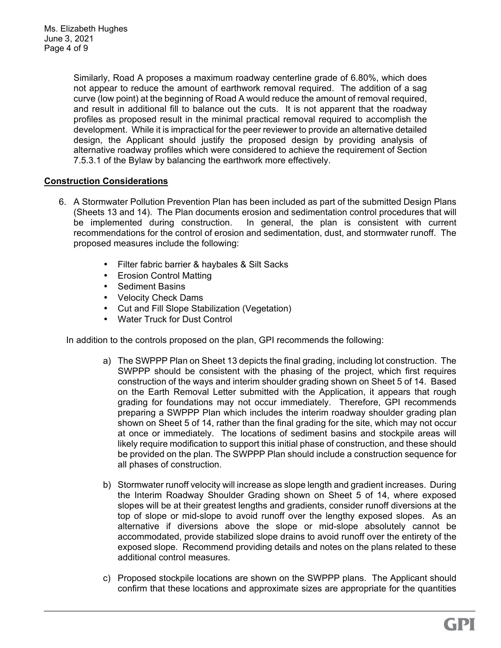Similarly, Road A proposes a maximum roadway centerline grade of 6.80%, which does not appear to reduce the amount of earthwork removal required. The addition of a sag curve (low point) at the beginning of Road A would reduce the amount of removal required, and result in additional fill to balance out the cuts. It is not apparent that the roadway profiles as proposed result in the minimal practical removal required to accomplish the development. While it is impractical for the peer reviewer to provide an alternative detailed design, the Applicant should justify the proposed design by providing analysis of alternative roadway profiles which were considered to achieve the requirement of Section 7.5.3.1 of the Bylaw by balancing the earthwork more effectively.

# **Construction Considerations**

- 6. A Stormwater Pollution Prevention Plan has been included as part of the submitted Design Plans (Sheets 13 and 14). The Plan documents erosion and sedimentation control procedures that will be implemented during construction. In general, the plan is consistent with current recommendations for the control of erosion and sedimentation, dust, and stormwater runoff. The proposed measures include the following:
	- Filter fabric barrier & haybales & Silt Sacks
	- Erosion Control Matting
	- Sediment Basins
	- Velocity Check Dams
	- Cut and Fill Slope Stabilization (Vegetation)
	- Water Truck for Dust Control

In addition to the controls proposed on the plan, GPI recommends the following:

- a) The SWPPP Plan on Sheet 13 depicts the final grading, including lot construction. The SWPPP should be consistent with the phasing of the project, which first requires construction of the ways and interim shoulder grading shown on Sheet 5 of 14. Based on the Earth Removal Letter submitted with the Application, it appears that rough grading for foundations may not occur immediately. Therefore, GPI recommends preparing a SWPPP Plan which includes the interim roadway shoulder grading plan shown on Sheet 5 of 14, rather than the final grading for the site, which may not occur at once or immediately. The locations of sediment basins and stockpile areas will likely require modification to support this initial phase of construction, and these should be provided on the plan. The SWPPP Plan should include a construction sequence for all phases of construction.
- b) Stormwater runoff velocity will increase as slope length and gradient increases. During the Interim Roadway Shoulder Grading shown on Sheet 5 of 14, where exposed slopes will be at their greatest lengths and gradients, consider runoff diversions at the top of slope or mid-slope to avoid runoff over the lengthy exposed slopes. As an alternative if diversions above the slope or mid-slope absolutely cannot be accommodated, provide stabilized slope drains to avoid runoff over the entirety of the exposed slope. Recommend providing details and notes on the plans related to these additional control measures.
- c) Proposed stockpile locations are shown on the SWPPP plans. The Applicant should confirm that these locations and approximate sizes are appropriate for the quantities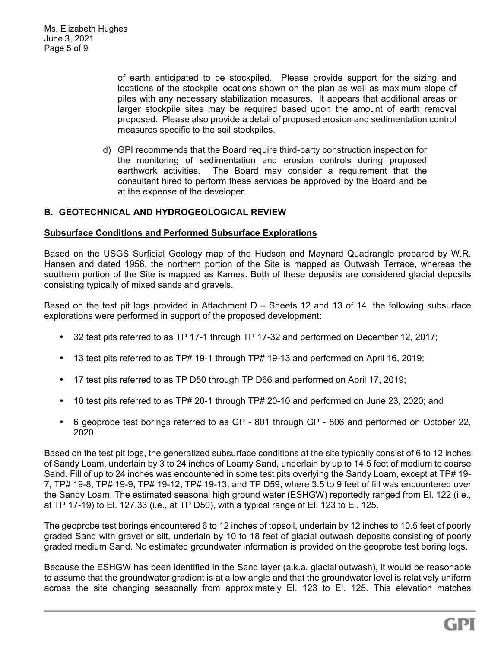of earth anticipated to be stockpiled. Please provide support for the sizing and locations of the stockpile locations shown on the plan as well as maximum slope of piles with any necessary stabilization measures. It appears that additional areas or larger stockpile sites may be required based upon the amount of earth removal proposed. Please also provide a detail of proposed erosion and sedimentation control measures specific to the soil stockpiles.

d) GPI recommends that the Board require third-party construction inspection for the monitoring of sedimentation and erosion controls during proposed earthwork activities. The Board may consider a requirement that the consultant hired to perform these services be approved by the Board and be at the expense of the developer.

# **B. GEOTECHNICAL AND HYDROGEOLOGICAL REVIEW**

### **Subsurface Conditions and Performed Subsurface Explorations**

Based on the USGS Surficial Geology map of the Hudson and Maynard Quadrangle prepared by W.R. Hansen and dated 1956, the northern portion of the Site is mapped as Outwash Terrace, whereas the southern portion of the Site is mapped as Kames. Both of these deposits are considered glacial deposits consisting typically of mixed sands and gravels.

Based on the test pit logs provided in Attachment D – Sheets 12 and 13 of 14, the following subsurface explorations were performed in support of the proposed development:

- 32 test pits referred to as TP 17-1 through TP 17-32 and performed on December 12, 2017;
- 13 test pits referred to as TP# 19-1 through TP# 19-13 and performed on April 16, 2019;
- 17 test pits referred to as TP D50 through TP D66 and performed on April 17, 2019;
- 10 test pits referred to as TP# 20-1 through TP# 20-10 and performed on June 23, 2020; and
- 6 geoprobe test borings referred to as GP 801 through GP 806 and performed on October 22, 2020.

Based on the test pit logs, the generalized subsurface conditions at the site typically consist of 6 to 12 inches of Sandy Loam, underlain by 3 to 24 inches of Loamy Sand, underlain by up to 14.5 feet of medium to coarse Sand. Fill of up to 24 inches was encountered in some test pits overlying the Sandy Loam, except at TP# 19- 7, TP# 19-8, TP# 19-9, TP# 19-12, TP# 19-13, and TP D59, where 3.5 to 9 feet of fill was encountered over the Sandy Loam. The estimated seasonal high ground water (ESHGW) reportedly ranged from El. 122 (i.e., at TP 17-19) to El. 127.33 (i.e., at TP D50), with a typical range of El. 123 to El. 125.

The geoprobe test borings encountered 6 to 12 inches of topsoil, underlain by 12 inches to 10.5 feet of poorly graded Sand with gravel or silt, underlain by 10 to 18 feet of glacial outwash deposits consisting of poorly graded medium Sand. No estimated groundwater information is provided on the geoprobe test boring logs.

Because the ESHGW has been identified in the Sand layer (a.k.a. glacial outwash), it would be reasonable to assume that the groundwater gradient is at a low angle and that the groundwater level is relatively uniform across the site changing seasonally from approximately El. 123 to El. 125. This elevation matches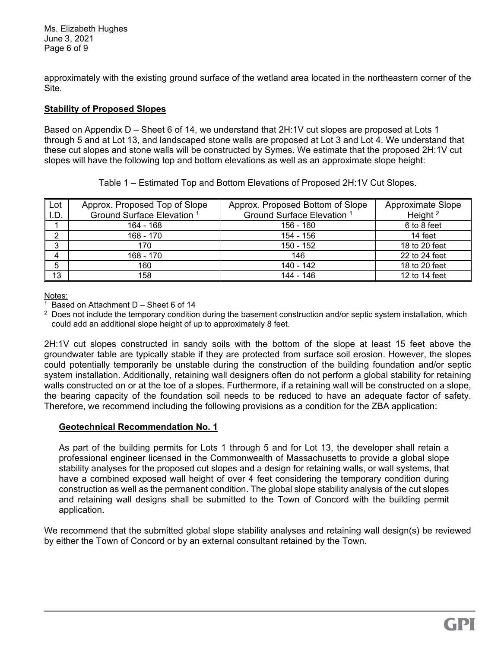Ms. Elizabeth Hughes June 2, 2021 3Page 6 of 9

approximately with the existing ground surface of the wetland area located in the northeastern corner of the Site.

### **Stability of Proposed Slopes**

Based on Appendix D – Sheet 6 of 14, we understand that 2H:1V cut slopes are proposed at Lots 1 through 5 and at Lot 13, and landscaped stone walls are proposed at Lot 3 and Lot 4. We understand that these cut slopes and stone walls will be constructed by Symes. We estimate that the proposed 2H:1V cut slopes will have the following top and bottom elevations as well as an approximate slope height:

|                                                                             |  | Appear Deparated Tap of Claps   Appear Deparated Dettom of Claps   Appearing to |  |  |
|-----------------------------------------------------------------------------|--|---------------------------------------------------------------------------------|--|--|
| Table 1 – Estimated Top and Bottom Elevations of Proposed 2H:1V Cut Slopes. |  |                                                                                 |  |  |

| Lot    | Approx. Proposed Top of Slope         | Approx. Proposed Bottom of Slope      | Approximate Slope |
|--------|---------------------------------------|---------------------------------------|-------------------|
| ۱.D.   | Ground Surface Elevation <sup>1</sup> | Ground Surface Elevation <sup>1</sup> | Height $2$        |
|        | 164 - 168                             | 156 - 160                             | 6 to 8 feet       |
| ◠      | 168 - 170                             | 154 - 156                             | 14 feet           |
| ົ<br>O | 170                                   | 150 - 152                             | 18 to 20 feet     |
|        | 168 - 170                             | 146                                   | 22 to 24 feet     |
| 5      | 160                                   | 140 - 142                             | 18 to 20 feet     |
| 13     | 158                                   | 144 - 146                             | 12 to 14 feet     |

Notes:

1 Based on Attachment D – Sheet 6 of 14

 $2$  Does not include the temporary condition during the basement construction and/or septic system installation, which could add an additional slope height of up to approximately 8 feet.

2H:1V cut slopes constructed in sandy soils with the bottom of the slope at least 15 feet above the groundwater table are typically stable if they are protected from surface soil erosion. However, the slopes could potentially temporarily be unstable during the construction of the building foundation and/or septic system installation. Additionally, retaining wall designers often do not perform a global stability for retaining walls constructed on or at the toe of a slopes. Furthermore, if a retaining wall will be constructed on a slope, the bearing capacity of the foundation soil needs to be reduced to have an adequate factor of safety. Therefore, we recommend including the following provisions as a condition for the ZBA application:

#### **Geotechnical Recommendation No. 1**

As part of the building permits for Lots 1 through 5 and for Lot 13, the developer shall retain a professional engineer licensed in the Commonwealth of Massachusetts to provide a global slope stability analyses for the proposed cut slopes and a design for retaining walls, or wall systems, that have a combined exposed wall height of over 4 feet considering the temporary condition during construction as well as the permanent condition. The global slope stability analysis of the cut slopes and retaining wall designs shall be submitted to the Town of Concord with the building permit application.

We recommend that the submitted global slope stability analyses and retaining wall design(s) be reviewed by either the Town of Concord or by an external consultant retained by the Town.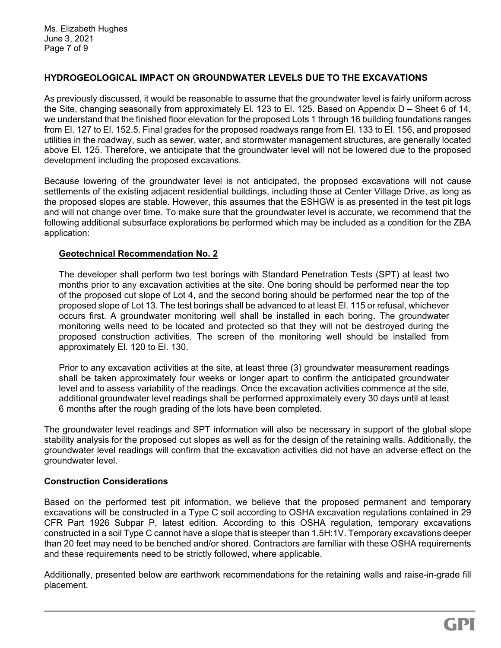# **HYDROGEOLOGICAL IMPACT ON GROUNDWATER LEVELS DUE TO THE EXCAVATIONS**

As previously discussed, it would be reasonable to assume that the groundwater level is fairly uniform across the Site, changing seasonally from approximately El. 123 to El. 125. Based on Appendix D – Sheet 6 of 14, we understand that the finished floor elevation for the proposed Lots 1 through 16 building foundations ranges from El. 127 to El. 152.5. Final grades for the proposed roadways range from El. 133 to El. 156, and proposed utilities in the roadway, such as sewer, water, and stormwater management structures, are generally located above El. 125. Therefore, we anticipate that the groundwater level will not be lowered due to the proposed development including the proposed excavations.

Because lowering of the groundwater level is not anticipated, the proposed excavations will not cause settlements of the existing adjacent residential buildings, including those at Center Village Drive, as long as the proposed slopes are stable. However, this assumes that the ESHGW is as presented in the test pit logs and will not change over time. To make sure that the groundwater level is accurate, we recommend that the following additional subsurface explorations be performed which may be included as a condition for the ZBA application:

# **Geotechnical Recommendation No. 2**

The developer shall perform two test borings with Standard Penetration Tests (SPT) at least two months prior to any excavation activities at the site. One boring should be performed near the top of the proposed cut slope of Lot 4, and the second boring should be performed near the top of the proposed slope of Lot 13. The test borings shall be advanced to at least El. 115 or refusal, whichever occurs first. A groundwater monitoring well shall be installed in each boring. The groundwater monitoring wells need to be located and protected so that they will not be destroyed during the proposed construction activities. The screen of the monitoring well should be installed from approximately El. 120 to El. 130.

Prior to any excavation activities at the site, at least three (3) groundwater measurement readings shall be taken approximately four weeks or longer apart to confirm the anticipated groundwater level and to assess variability of the readings. Once the excavation activities commence at the site, additional groundwater level readings shall be performed approximately every 30 days until at least 6 months after the rough grading of the lots have been completed.

The groundwater level readings and SPT information will also be necessary in support of the global slope stability analysis for the proposed cut slopes as well as for the design of the retaining walls. Additionally, the groundwater level readings will confirm that the excavation activities did not have an adverse effect on the groundwater level.

# **Construction Considerations**

Based on the performed test pit information, we believe that the proposed permanent and temporary excavations will be constructed in a Type C soil according to OSHA excavation regulations contained in 29 CFR Part 1926 Subpar P, latest edition. According to this OSHA regulation, temporary excavations constructed in a soil Type C cannot have a slope that is steeper than 1.5H:1V. Temporary excavations deeper than 20 feet may need to be benched and/or shored. Contractors are familiar with these OSHA requirements and these requirements need to be strictly followed, where applicable.

Additionally, presented below are earthwork recommendations for the retaining walls and raise-in-grade fill placement.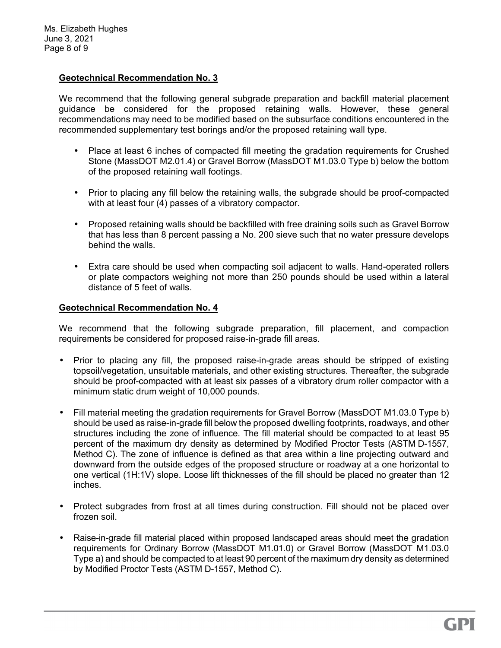# **Geotechnical Recommendation No. 3**

We recommend that the following general subgrade preparation and backfill material placement guidance be considered for the proposed retaining walls. However, these general recommendations may need to be modified based on the subsurface conditions encountered in the recommended supplementary test borings and/or the proposed retaining wall type.

- Place at least 6 inches of compacted fill meeting the gradation requirements for Crushed Stone (MassDOT M2.01.4) or Gravel Borrow (MassDOT M1.03.0 Type b) below the bottom of the proposed retaining wall footings.
- Prior to placing any fill below the retaining walls, the subgrade should be proof-compacted with at least four (4) passes of a vibratory compactor.
- Proposed retaining walls should be backfilled with free draining soils such as Gravel Borrow that has less than 8 percent passing a No. 200 sieve such that no water pressure develops behind the walls.
- Extra care should be used when compacting soil adjacent to walls. Hand-operated rollers or plate compactors weighing not more than 250 pounds should be used within a lateral distance of 5 feet of walls.

### **Geotechnical Recommendation No. 4**

We recommend that the following subgrade preparation, fill placement, and compaction requirements be considered for proposed raise-in-grade fill areas.

- Prior to placing any fill, the proposed raise-in-grade areas should be stripped of existing topsoil/vegetation, unsuitable materials, and other existing structures. Thereafter, the subgrade should be proof-compacted with at least six passes of a vibratory drum roller compactor with a minimum static drum weight of 10,000 pounds.
- Fill material meeting the gradation requirements for Gravel Borrow (MassDOT M1.03.0 Type b) should be used as raise-in-grade fill below the proposed dwelling footprints, roadways, and other structures including the zone of influence. The fill material should be compacted to at least 95 percent of the maximum dry density as determined by Modified Proctor Tests (ASTM D-1557, Method C). The zone of influence is defined as that area within a line projecting outward and downward from the outside edges of the proposed structure or roadway at a one horizontal to one vertical (1H:1V) slope. Loose lift thicknesses of the fill should be placed no greater than 12 inches.
- Protect subgrades from frost at all times during construction. Fill should not be placed over frozen soil.
- Raise-in-grade fill material placed within proposed landscaped areas should meet the gradation requirements for Ordinary Borrow (MassDOT M1.01.0) or Gravel Borrow (MassDOT M1.03.0 Type a) and should be compacted to at least 90 percent of the maximum dry density as determined by Modified Proctor Tests (ASTM D-1557, Method C).